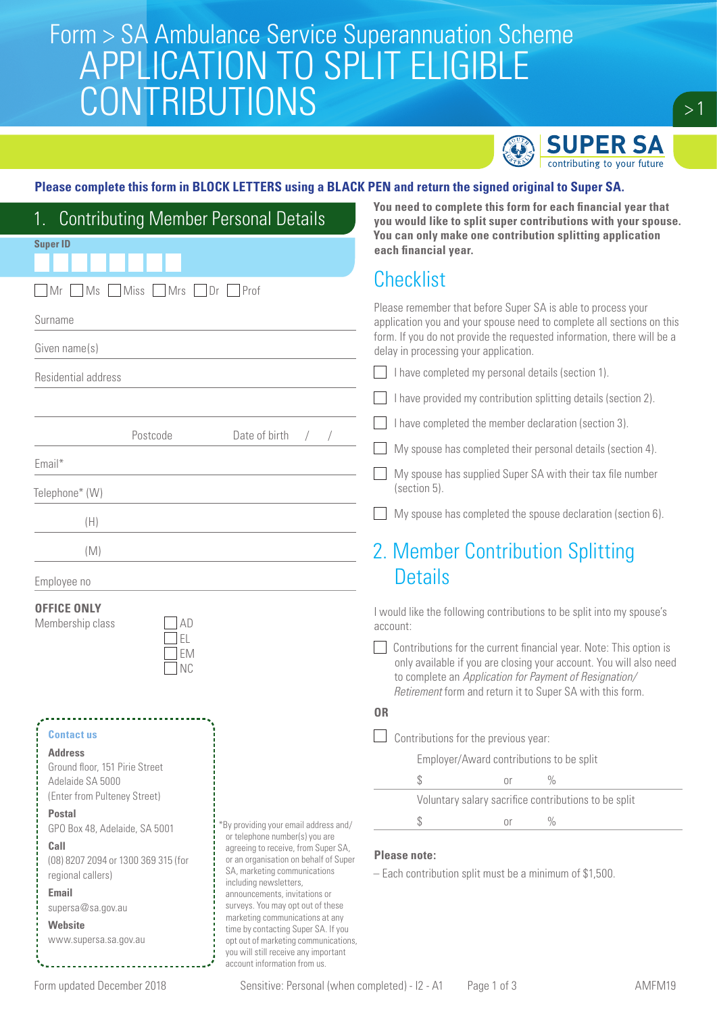# Form > SA Ambulance Service Superannuation Scheme<br>COLO ATION TO CDI IT ELICIDI E APPLICATION TO SPLIT ELIGIBLE CONTRIBUTIONS



 $> 1$ 

#### **Please complete this form in BLOCK LETTERS using a BLACK PEN and return the signed original to Super SA.**

| <b>Contributing Member Personal Details</b><br>1.        |                                                                                                                     |                                                                                                                                                                                                                 |                                                                                                                                                                                                                                                                 |    | You need to complete this form for each financial year that<br>you would like to split super contributions with your spouse. |  |  |  |
|----------------------------------------------------------|---------------------------------------------------------------------------------------------------------------------|-----------------------------------------------------------------------------------------------------------------------------------------------------------------------------------------------------------------|-----------------------------------------------------------------------------------------------------------------------------------------------------------------------------------------------------------------------------------------------------------------|----|------------------------------------------------------------------------------------------------------------------------------|--|--|--|
| <b>Super ID</b>                                          |                                                                                                                     |                                                                                                                                                                                                                 | You can only make one contribution splitting application<br>each financial year.                                                                                                                                                                                |    |                                                                                                                              |  |  |  |
|                                                          |                                                                                                                     |                                                                                                                                                                                                                 |                                                                                                                                                                                                                                                                 |    |                                                                                                                              |  |  |  |
| <b>Miss</b><br>Mrs Dr Prof<br>MS<br>Mr                   |                                                                                                                     | <b>Checklist</b>                                                                                                                                                                                                |                                                                                                                                                                                                                                                                 |    |                                                                                                                              |  |  |  |
| Surname                                                  |                                                                                                                     | Please remember that before Super SA is able to process your<br>application you and your spouse need to complete all sections on this<br>form. If you do not provide the requested information, there will be a |                                                                                                                                                                                                                                                                 |    |                                                                                                                              |  |  |  |
| Given name(s)                                            |                                                                                                                     | delay in processing your application.                                                                                                                                                                           |                                                                                                                                                                                                                                                                 |    |                                                                                                                              |  |  |  |
| Residential address                                      |                                                                                                                     | I have completed my personal details (section 1).                                                                                                                                                               |                                                                                                                                                                                                                                                                 |    |                                                                                                                              |  |  |  |
|                                                          |                                                                                                                     |                                                                                                                                                                                                                 | I have provided my contribution splitting details (section 2).                                                                                                                                                                                                  |    |                                                                                                                              |  |  |  |
| Postcode<br>Date of birth<br>Email*<br>Telephone* (W)    |                                                                                                                     | I have completed the member declaration (section 3).                                                                                                                                                            |                                                                                                                                                                                                                                                                 |    |                                                                                                                              |  |  |  |
|                                                          |                                                                                                                     | My spouse has completed their personal details (section 4).                                                                                                                                                     |                                                                                                                                                                                                                                                                 |    |                                                                                                                              |  |  |  |
|                                                          |                                                                                                                     | My spouse has supplied Super SA with their tax file number<br>(section 5).                                                                                                                                      |                                                                                                                                                                                                                                                                 |    |                                                                                                                              |  |  |  |
| (H)                                                      |                                                                                                                     | My spouse has completed the spouse declaration (section 6).                                                                                                                                                     |                                                                                                                                                                                                                                                                 |    |                                                                                                                              |  |  |  |
| (M)                                                      |                                                                                                                     | 2. Member Contribution Splitting                                                                                                                                                                                |                                                                                                                                                                                                                                                                 |    |                                                                                                                              |  |  |  |
| Employee no                                              |                                                                                                                     | <b>Details</b>                                                                                                                                                                                                  |                                                                                                                                                                                                                                                                 |    |                                                                                                                              |  |  |  |
| <b>OFFICE ONLY</b><br>Membership class<br>ΑD             |                                                                                                                     | I would like the following contributions to be split into my spouse's<br>account:                                                                                                                               |                                                                                                                                                                                                                                                                 |    |                                                                                                                              |  |  |  |
| EL<br><b>EM</b><br><b>NC</b>                             |                                                                                                                     |                                                                                                                                                                                                                 | Contributions for the current financial year. Note: This option is<br>only available if you are closing your account. You will also need<br>to complete an Application for Payment of Resignation/<br>Retirement form and return it to Super SA with this form. |    |                                                                                                                              |  |  |  |
|                                                          |                                                                                                                     | <b>OR</b>                                                                                                                                                                                                       |                                                                                                                                                                                                                                                                 |    |                                                                                                                              |  |  |  |
| <b>Contactus</b>                                         |                                                                                                                     | Contributions for the previous year:                                                                                                                                                                            |                                                                                                                                                                                                                                                                 |    |                                                                                                                              |  |  |  |
| <b>Address</b><br>Ground floor, 151 Pirie Street         |                                                                                                                     |                                                                                                                                                                                                                 | Employer/Award contributions to be split                                                                                                                                                                                                                        |    |                                                                                                                              |  |  |  |
| Adelaide SA 5000                                         |                                                                                                                     |                                                                                                                                                                                                                 | \$                                                                                                                                                                                                                                                              | or | $\%$                                                                                                                         |  |  |  |
| (Enter from Pulteney Street)                             |                                                                                                                     |                                                                                                                                                                                                                 |                                                                                                                                                                                                                                                                 |    | Voluntary salary sacrifice contributions to be split                                                                         |  |  |  |
| <b>Postal</b><br>GPO Box 48, Adelaide, SA 5001           | By providing your email address and/                                                                                |                                                                                                                                                                                                                 | \$                                                                                                                                                                                                                                                              | 0r | $\frac{0}{0}$                                                                                                                |  |  |  |
| Call                                                     | or telephone number(s) you are<br>agreeing to receive, from Super SA,                                               | <b>Please note:</b>                                                                                                                                                                                             |                                                                                                                                                                                                                                                                 |    |                                                                                                                              |  |  |  |
| (08) 8207 2094 or 1300 369 315 (for<br>regional callers) | or an organisation on behalf of Super<br>SA, marketing communications                                               |                                                                                                                                                                                                                 | - Each contribution split must be a minimum of \$1,500.                                                                                                                                                                                                         |    |                                                                                                                              |  |  |  |
| <b>Email</b>                                             | including newsletters,<br>announcements, invitations or                                                             |                                                                                                                                                                                                                 |                                                                                                                                                                                                                                                                 |    |                                                                                                                              |  |  |  |
| supersa@sa.gov.au                                        | surveys. You may opt out of these<br>marketing communications at any                                                |                                                                                                                                                                                                                 |                                                                                                                                                                                                                                                                 |    |                                                                                                                              |  |  |  |
| Website<br>www.supersa.sa.gov.au                         | time by contacting Super SA. If you<br>opt out of marketing communications,<br>you will still receive any important |                                                                                                                                                                                                                 |                                                                                                                                                                                                                                                                 |    |                                                                                                                              |  |  |  |
|                                                          | account information from us.                                                                                        |                                                                                                                                                                                                                 |                                                                                                                                                                                                                                                                 |    |                                                                                                                              |  |  |  |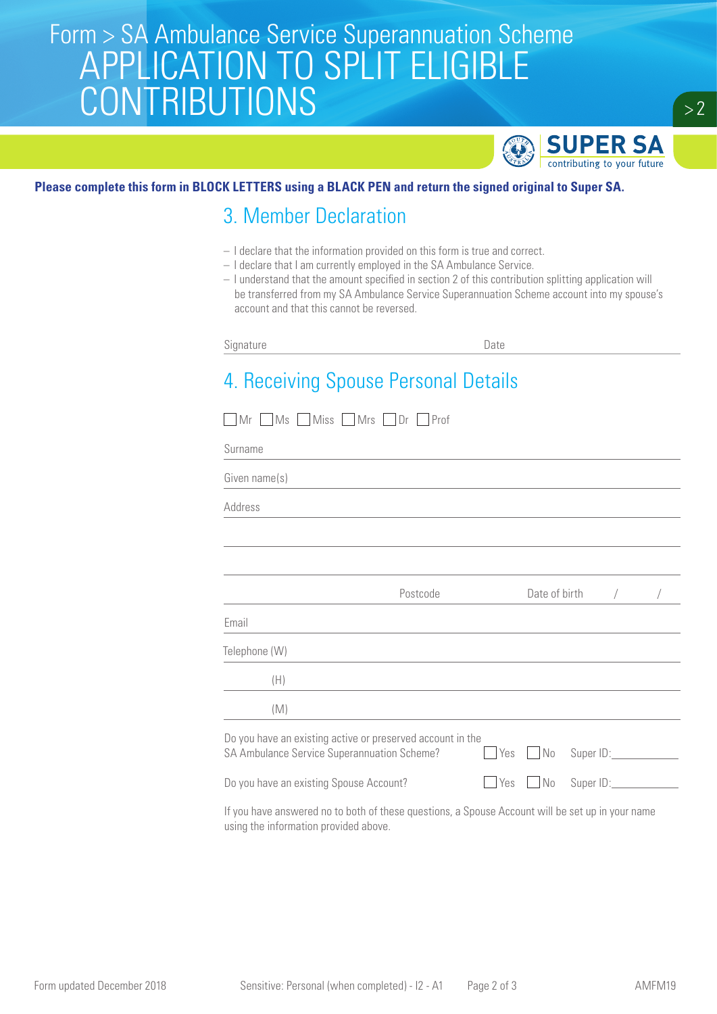# Form > SA Ambulance Service Superannuation Scheme<br>COLO ATION TO CDI IT ELICIDI E APPLICATION TO SPLIT ELIGIBLE **CONTRIBUTIONS**



### **Please complete this form in BLOCK LETTERS using a BLACK PEN and return the signed original to Super SA.**

### 3. Member Declaration

- I declare that the information provided on this form is true and correct.
- I declare that I am currently employed in the SA Ambulance Service.
- I understand that the amount specified in section 2 of this contribution splitting application will be transferred from my SA Ambulance Service Superannuation Scheme account into my spouse's account and that this cannot be reversed.

Signature Date

## 4. Receiving Spouse Personal Details

| Mr Ms Miss Mrs Dr Prof                                                                                                                                                                                                                                                                                                                                                                                                       |            |               |                                   |  |
|------------------------------------------------------------------------------------------------------------------------------------------------------------------------------------------------------------------------------------------------------------------------------------------------------------------------------------------------------------------------------------------------------------------------------|------------|---------------|-----------------------------------|--|
| Surname                                                                                                                                                                                                                                                                                                                                                                                                                      |            |               |                                   |  |
| Given name(s)                                                                                                                                                                                                                                                                                                                                                                                                                |            |               |                                   |  |
| Address                                                                                                                                                                                                                                                                                                                                                                                                                      |            |               |                                   |  |
|                                                                                                                                                                                                                                                                                                                                                                                                                              |            |               |                                   |  |
|                                                                                                                                                                                                                                                                                                                                                                                                                              |            |               |                                   |  |
| Postcode                                                                                                                                                                                                                                                                                                                                                                                                                     |            | Date of birth | $\sqrt{2}$                        |  |
| Email                                                                                                                                                                                                                                                                                                                                                                                                                        |            |               |                                   |  |
| Telephone (W)                                                                                                                                                                                                                                                                                                                                                                                                                |            |               |                                   |  |
| (H)                                                                                                                                                                                                                                                                                                                                                                                                                          |            |               |                                   |  |
| (M)                                                                                                                                                                                                                                                                                                                                                                                                                          |            |               |                                   |  |
| Do you have an existing active or preserved account in the<br>SA Ambulance Service Superannuation Scheme?                                                                                                                                                                                                                                                                                                                    | $\Box$ Yes |               | No Super ID:                      |  |
| Do you have an existing Spouse Account?<br><b>Yes</b>                                                                                                                                                                                                                                                                                                                                                                        |            |               | No Super ID: Cambridge Management |  |
| $\mathbf{R} = \mathbf{R} = \mathbf{R} = \mathbf{R} = \mathbf{R} = \mathbf{R} = \mathbf{R} = \mathbf{R} = \mathbf{R} = \mathbf{R} = \mathbf{R} = \mathbf{R} = \mathbf{R} = \mathbf{R} = \mathbf{R} = \mathbf{R} = \mathbf{R} = \mathbf{R} = \mathbf{R} = \mathbf{R} = \mathbf{R} = \mathbf{R} = \mathbf{R} = \mathbf{R} = \mathbf{R} = \mathbf{R} = \mathbf{R} = \mathbf{R} = \mathbf{R} = \mathbf{R} = \mathbf{R} = \mathbf$ |            |               |                                   |  |

If you have answered no to both of these questions, a Spouse Account will be set up in your name using the information provided above.